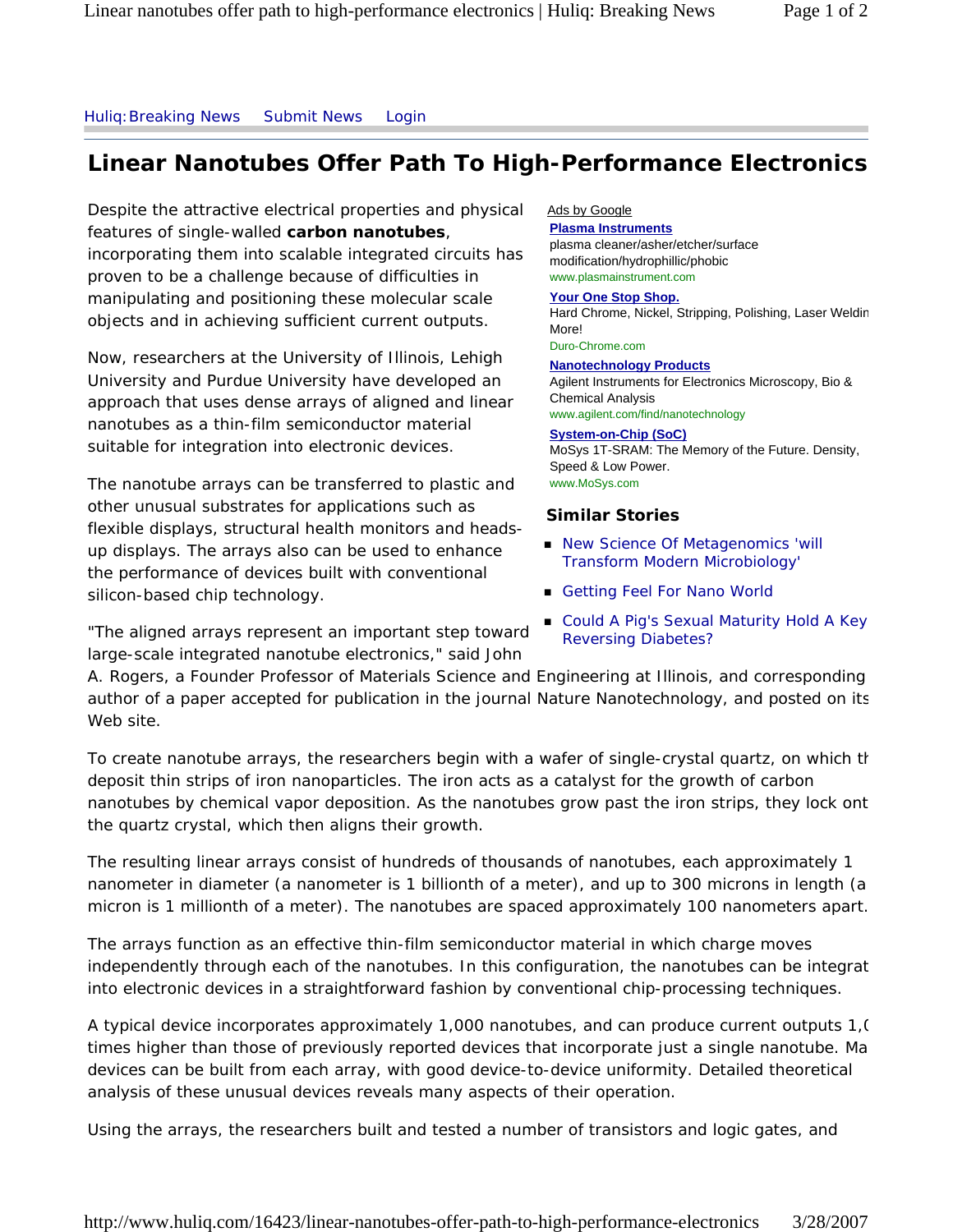## Huliq:Breaking News Submit News Login

# **Linear Nanotubes Offer Path To High-Performance Electronics**

Despite the attractive electrical properties and physical features of single-walled **carbon nanotubes**, incorporating them into scalable integrated circuits has proven to be a challenge because of difficulties in manipulating and positioning these molecular scale objects and in achieving sufficient current outputs.

Now, researchers at the University of Illinois, Lehigh University and Purdue University have developed an approach that uses dense arrays of aligned and linear nanotubes as a thin-film semiconductor material suitable for integration into electronic devices.

The nanotube arrays can be transferred to plastic and other unusual substrates for applications such as flexible displays, structural health monitors and headsup displays. The arrays also can be used to enhance the performance of devices built with conventional silicon-based chip technology.

"The aligned arrays represent an important step toward large-scale integrated nanotube electronics," said John

## Ads by Google

**Plasma Instruments** plasma cleaner/asher/etcher/surface modification/hydrophillic/phobic www.plasmainstrument.com

#### **Your One Stop Shop.**

Hard Chrome, Nickel, Stripping, Polishing, Laser Weldin More!

Duro-Chrome.com

**Nanotechnology Products** Agilent Instruments for Electronics Microscopy, Bio & Chemical Analysis www.agilent.com/find/nanotechnology

#### **System-on-Chip (SoC)**

MoSys 1T-SRAM: The Memory of the Future. Density, Speed & Low Power. www.MoSys.com

## **Similar Stories**

- New Science Of Metagenomics 'will Transform Modern Microbiology'
- Getting Feel For Nano World
- Could A Pig's Sexual Maturity Hold A Key Reversing Diabetes?

A. Rogers, a Founder Professor of Materials Science and Engineering at Illinois, and corresponding author of a paper accepted for publication in the journal Nature Nanotechnology, and posted on its Web site.

To create nanotube arrays, the researchers begin with a wafer of single-crystal quartz, on which th deposit thin strips of iron nanoparticles. The iron acts as a catalyst for the growth of carbon nanotubes by chemical vapor deposition. As the nanotubes grow past the iron strips, they lock ont the quartz crystal, which then aligns their growth.

The resulting linear arrays consist of hundreds of thousands of nanotubes, each approximately 1 nanometer in diameter (a nanometer is 1 billionth of a meter), and up to 300 microns in length (a micron is 1 millionth of a meter). The nanotubes are spaced approximately 100 nanometers apart.

The arrays function as an effective thin-film semiconductor material in which charge moves independently through each of the nanotubes. In this configuration, the nanotubes can be integrat into electronic devices in a straightforward fashion by conventional chip-processing techniques.

A typical device incorporates approximately 1,000 nanotubes, and can produce current outputs 1,0 times higher than those of previously reported devices that incorporate just a single nanotube. Ma devices can be built from each array, with good device-to-device uniformity. Detailed theoretical analysis of these unusual devices reveals many aspects of their operation.

Using the arrays, the researchers built and tested a number of transistors and logic gates, and